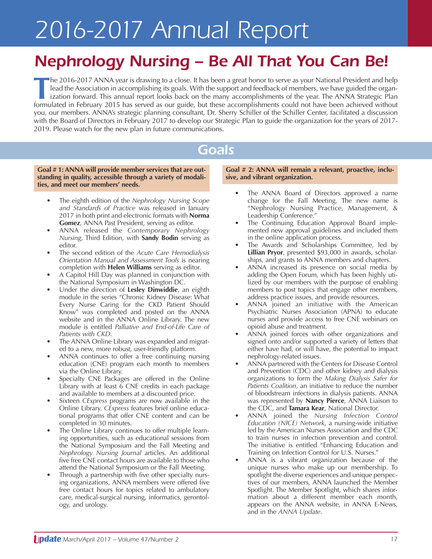# *2016-2017 Annual Report*

## *Nephrology Nursing – Be All That You Can Be!*

**T**he 2016-2017 ANNA year is drawing to <sup>a</sup> close. It has been <sup>a</sup> great honor to serve as your National President and help lead the Association in accomplishing its goals. With the support and feedback of members, we have guided the organization forward. This annual report looks back on the many accomplishments of the year. The ANNA Strategic Plan formulated in February 2015 has served as our guide, but these accomplishments could not have been achieved without you, our members. ANNA's strategic planning consultant, Dr. Sherry Schiller of the Schiller Center, facilitated a discussion with the Board of Directors in February 2017 to develop our Strategic Plan to guide the organization for the years of 2017- 2019. Please watch for the new plan in future communications.

### *Goals*

**Goal # 1: ANNA will provide member services that are outstanding in quality, accessible through a variety of modalities, and meet our members' needs.**

- The eighth edition of the *Nephrology Nursing Scope and Standards of Practice* was released in January 2017 in both print and electronic formats with **Norma Gomez**, ANNA Past President, serving as editor.
- ANNA released the *Contemporary Nephrology Nursing*, Third Edition, with **Sandy Bodin** serving as editor.
- The second edition of the *Acute Care Hemodialysis Orientation Manual and Assessment Tools* is nearing completion with **Helen Williams** serving as editor.
- A Capitol Hill Day was planned in conjunction with the National Symposium in Washington DC.
- Under the direction of **Lesley Dinwiddie**, an eighth module in the series "Chronic Kidney Disease: What Every Nurse Caring for the CKD Patient Should Know" was completed and posted on the ANNA website and in the ANNA Online Library. The new module is entitled *Palliative and End-of-Life Care of Patients with CKD*.
- The ANNA Online Library was expanded and migrated to a new, more robust, user-friendly platform.
- ANNA continues to offer a free continuing nursing education (CNE) program each month to members via the Online Library.
- Specialty CNE Packages are offered in the Online Library with at least 6 CNE credits in each package and available to members at a discounted price.
- Sixteen *CExpress* programs are now available in the Online Library. *CExpress* features brief online educational programs that offer CNE content and can be completed in 30 minutes.
- The Online Library continues to offer multiple learning opportunities, such as educational sessions from the National Symposium and the Fall Meeting and *Nephrology Nursing Journal* articles. An additional five free CNE contact hours are available to those who attend the National Symposium or the Fall Meeting.
- Through a partnership with five other specialty nursing organizations, ANNA members were offered five free contact hours for topics related to ambulatory care, medical-surgical nursing, informatics, gerontology, and urology.

**Goal # 2: ANNA will remain a relevant, proactive, inclusive, and vibrant organization.**

- The ANNA Board of Directors approved a name change for the Fall Meeting. The new name is "Nephrology Nursing Practice, Management, & Leadership Conference."
- The Continuing Education Approval Board implemented new approval guidelines and included them in the online application process.
- The Awards and Scholarships Committee, led by **Lillian Pryor**, presented \$93,000 in awards, scholarships, and grants to ANNA members and chapters.
- ANNA increased its presence on social media by adding the Open Forum, which has been highly utilized by our members with the purpose of enabling members to post topics that engage other members, address practice issues, and provide resources.
- ANNA joined an initiative with the American Psychiatric Nurses Association (APNA) to educate nurses and provide access to free CNE webinars on opioid abuse and treatment.
- ANNA joined forces with other organizations and signed onto and/or supported a variety of letters that either have had, or will have, the potential to impact nephrology-related issues.
- ANNA partnered with the Centers for Disease Control and Prevention (CDC) and other kidney and dialysis organizations to form the *Making Dialysis Safer for Patients Coalition*, an initiative to reduce the number of bloodstream infections in dialysis patients. ANNA was represented by **Nancy Pierce**, ANNA Liaison to the CDC, and **Tamara Kear**, National Director.
- ANNA joined the *Nursing Infection Control Education (NICE) Network*, a nursing-wide initiative led by the American Nurses Association and the CDC to train nurses in infection prevention and control. The initiative is entitled "Enhancing Education and Training on Infection Control for U.S. Nurses."
- ANNA is a vibrant organization because of the unique nurses who make up our membership. To spotlight the diverse experiences and unique perspectives of our members, ANNA launched the Member Spotlight. The Member Spotlight, which shares information about a different member each month, appears on the ANNA website, in ANNA E-News, and in the *ANNA Update*.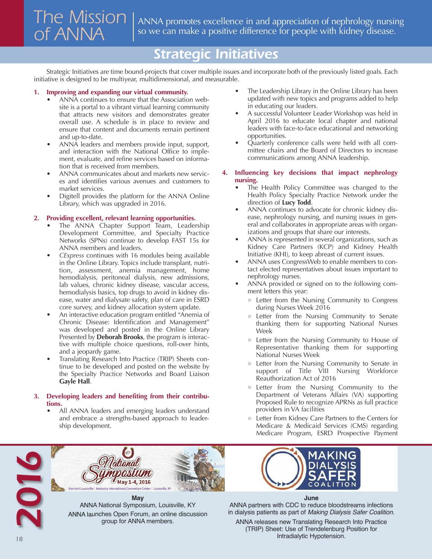## *The Mission of ANNA*

ANNA promotes excellence in and appreciation of nephrology nursing so we can make a positive difference for people with kidney disease.

## *Strategic Initiatives*

Strategic Initiatives are time bound-projects that cover multiple issues and incorporate both of the previously listed goals. Each initiative is designed to be multiyear, multidimensional, and measurable.

#### **1. Improving and expanding our virtual community.**

- ANNA continues to ensure that the Association website is a portal to a vibrant virtual learning community that attracts new visitors and demonstrates greater overall use. A schedule is in place to review and ensure that content and documents remain pertinent and up-to-date.
- ANNA leaders and members provide input, support, and interaction with the National Office to implement, evaluate, and refine services based on information that is received from members.
- ANNA communicates about and markets new services and identifies various avenues and customers to market services.
- Digitell provides the platform for the ANNA Online Library, which was upgraded in 2016.

#### **2. Providing excellent, relevant learning opportunities.**

- The ANNA Chapter Support Team, Leadership Development Committee, and Specialty Practice Networks (SPNs) continue to develop FAST 15s for ANNA members and leaders.
- *CExpress* continues with 16 modules being available in the Online Library. Topics include transplant, nutrition, assessment, anemia management, home hemodialysis, peritoneal dialysis, new admissions, lab values, chronic kidney disease, vascular access, hemodialysis basics, top drugs to avoid in kidney disease, water and dialysate safety, plan of care in ESRD core survey, and kidney allocation system update.
- An interactive education program entitled "Anemia of Chronic Disease: Identification and Management" was developed and posted in the Online Library Presented by **Deborah Brooks**, the program is interactive with multiple choice questions, roll-over hints, and a jeopardy game.
- Translating Research Into Practice (TRIP) Sheets continue to be developed and posted on the website by the Specialty Practice Networks and Board Liaison **Gayle Hall**.

#### **3. Developing leaders and benefiting from their contributions.**

All ANNA leaders and emerging leaders understand and embrace a strengths-based approach to leadership development.

- The Leadership Library in the Online Library has been updated with new topics and programs added to help in educating our leaders.
- A successful Volunteer Leader Workshop was held in April 2016 to educate local chapter and national leaders with face-to-face educational and networking opportunities.
- Quarterly conference calls were held with all committee chairs and the Board of Directors to increase communications among ANNA leadership.

#### **4. Influencing key decisions that impact nephrology nursing.**

- The Health Policy Committee was changed to the Health Policy Specialty Practice Network under the direction of **Lucy Todd**.
- ANNA continues to advocate for chronic kidney disease, nephrology nursing, and nursing issues in general and collaborates in appropriate areas with organizations and groups that share our interests.
- ANNA is represented in several organizations, such as Kidney Care Partners (KCP) and Kidney Health Initiative (KHI), to keep abreast of current issues.
- ANNA uses CongressWeb to enable members to contact elected representatives about issues important to nephrology nurses.
- ANNA provided or signed on to the following comment letters this year:
	- Letter from the Nursing Community to Congress during Nurses Week 2016
	- Letter from the Nursing Community to Senate thanking them for supporting National Nurses Week
	- Letter from the Nursing Community to House of Representative thanking them for supporting National Nurses Week
	- Letter from the Nursing Community to Senate in support of Title VIII Nursing Workforce Reauthorization Act of 2016
	- Letter from the Nursing Community to the Department of Veterans Affairs (VA) supporting Proposed Rule to recognize APRNs as full practice providers in VA facilities
	- Letter from Kidney Care Partners to the Centers for Medicare & Medicaid Services (CMS) regarding Medicare Program, ESRD Prospective Payment



ANNA National Symposium, Louisville, KY ANNA launches Open Forum, an online discussion group for ANNA members.

**June**

ANNA partners with CDC to reduce bloodstreams infections in dialysis patients as part of *Making Dialysis Safer Coalition*.

ANNA releases new Translating Research Into Practice (TRIP) Sheet: Use of Trendelenburg Position for Intradialytic Hypotension.

2<br>2<br>2<br>2<br>2<br>2<br>2<br>2<br>2<br>2<br>2<br>2<br>2<br>2<br>2<br>2<br>**2**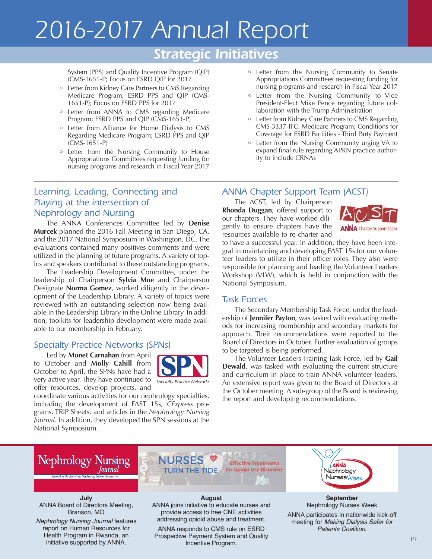# *2016-2017 Annual Report*

## *Strategic Initiatives*

System (PPS) and Quality Incentive Program (QIP) (CMS-1651-P; Focus on ESRD QIP for 2017

- Letter from Kidney Care Partners to CMS Regarding Medicare Program; ESRD PPS and QIP (CMS-1651-P); Focus on ESRD PPS for 2017
- Letter from ANNA to CMS regarding Medicare Program; ESRD PPS and QIP (CMS-1651-P)
- Letter from Alliance for Home Dialysis to CMS Regarding Medicare Program; ESRD PPS and QIP (CMS-1651-P)
- Letter from the Nursing Community to House Appropriations Committees requesting funding for nursing programs and research in Fiscal Year 2017

#### *Learning, Leading, Connecting and Playing at the intersection of Nephrology and Nursing*

The ANNA Conferences Committee led by **Denise Murcek** planned the 2016 Fall Meeting in San Diego, CA, and the 2017 National Symposium in Washington, DC. The evaluations contained many positives comments and were utilized in the planning of future programs. A variety of topics and speakers contributed to these outstanding programs.

The Leadership Development Committee, under the leadership of Chairperson **Sylvia Moe** and Chairperson Designate **Norma Gomez**, worked diligently in the development of the Leadership Library. A variety of topics were reviewed with an outstanding selection now being available in the Leadership Library in the Online Library. In addition, toolkits for leadership development were made available to our membership in February.

#### *Specialty Practice Networks (SPNs)*

Led by **Monet Carnahan** from April to October and **Molly Cahill** from October to April, the SPNs have had a very active year. They have continued to *Specialty Practice Networks*offer resources, develop projects, and



coordinate various activities for our nephrology specialties, including the development of FAST 15s, *CExpress* programs, TRIP Sheets, and articles in the *Nephrology Nursing Journal*. In addition, they developed the SPN sessions at the National Symposium.

- Letter from the Nursing Community to Senate Appropriations Committees requesting funding for nursing programs and research in Fiscal Year 2017
- Letter from the Nursing Community to Vice President-Elect Mike Pence regarding future collaboration with the Trump Administration
- Letter from Kidney Care Partners to CMS Regarding CMS-3337-IFC: Medicare Program; Conditions for Coverage for ESRD Facilities - Third Party Payment
- Letter from the Nursing Community urging VA to expand final rule regarding APRN practice authority to include CRNAs

#### *ANNA Chapter Support Team (ACST)*

The ACST, led by Chairperson **Rhonda Duggan**, offered support to our chapters. They have worked diligently to ensure chapters have the resources available to re-charter and



to have a successful year. In addition, they have been integral in maintaining and developing FAST 15s for our volunteer leaders to utilize in their officer roles. They also were responsible for planning and leading the Volunteer Leaders Workshop (VLW), which is held in conjunction with the National Symposium.

#### *Task Forces*

The Secondary Membership Task Force, under the leadership of **Jennifer Payton**, was tasked with evaluating methods for increasing membership and secondary markets for approach. Their recommendations were reported to the Board of Directors in October. Further evaluation of groups to be targeted is being performed.

The Volunteer Leaders Training Task Force, led by **Gail Dewald**, was tasked with evaluating the current structure and curriculum in place to train ANNA volunteer leaders. An extensive report was given to the Board of Directors at the October meeting. A sub-group of the Board is reviewing the report and developing recommendations.



**July** ANNA Board of Directors Meeting, Branson, MO

*Nephrology Nursing Journal* features report on Human Resources for Health Program in Rwanda, an initiative supported by ANNA.

#### **August**

ANNA joins initiative to educate nurses and provide access to free CNE activities addressing opioid abuse and treatment.

ANNA responds to CMS rule on ESRD Prospective Payment System and Quality Incentive Program.



#### **September** Nephrology Nurses Week

ANNA participates in nationwide kick-off meeting for *Making Dialysis Safer for Patients Coalition*.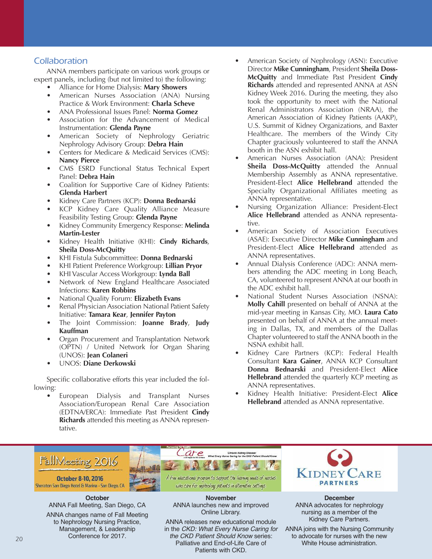#### *Collaboration*

ANNA members participate on various work groups or expert panels, including (but not limited to) the following:

- Alliance for Home Dialysis: **Mary Showers**
	- American Nurses Association (ANA) Nursing Practice & Work Environment: **Charla Scheve**
- ANA Professional Issues Panel: **Norma Gomez**
- Association for the Advancement of Medical Instrumentation: **Glenda Payne**
- American Society of Nephrology Geriatric Nephrology Advisory Group: **Debra Hain**
- Centers for Medicare & Medicaid Services (CMS): **Nancy Pierce**
- CMS ESRD Functional Status Technical Expert Panel: **Debra Hain**
- Coalition for Supportive Care of Kidney Patients: **Glenda Harbert**
- Kidney Care Partners (KCP): **Donna Bednarski**
- KCP Kidney Care Quality Alliance Measure Feasibility Testing Group: **Glenda Payne**
- Kidney Community Emergency Response: **Melinda Martin-Lester**
- Kidney Health Initiative (KHI): **Cindy Richards**, **Sheila Doss-McQuitty**
- KHI Fistula Subcommittee: **Donna Bednarski**
- KHI Patient Preference Workgroup: **Lillian Pryor**
- KHI Vascular Access Workgroup: **Lynda Ball**
- Network of New England Healthcare Associated Infections: **Karen Robbins**
- National Quality Forum: **Elizabeth Evans**
- Renal Physician Association National Patient Safety Initiative: **Tamara Kear**, **Jennifer Payton**
- The Joint Commission: **Joanne Brady**, **Judy Kauffman**
- Organ Procurement and Transplantation Network (OPTN) / United Network for Organ Sharing (UNOS): **Jean Colaneri**
- UNOS: **Diane Derkowski**

Specific collaborative efforts this year included the following:

• European Dialysis and Transplant Nurses Association/European Renal Care Association (EDTNA/ERCA): Immediate Past President **Cindy Richards** attended this meeting as ANNA representative.

- American Society of Nephrology (ASN): Executive Director **Mike Cunningham**, President **Sheila Doss-McQuitty** and Immediate Past President **Cindy Richards** attended and represented ANNA at ASN Kidney Week 2016. During the meeting, they also took the opportunity to meet with the National Renal Administrators Association (NRAA), the American Association of Kidney Patients (AAKP), U.S. Summit of Kidney Organizations, and Baxter Healthcare. The members of the Windy City Chapter graciously volunteered to staff the ANNA booth in the ASN exhibit hall.
- American Nurses Association (ANA): President **Sheila Doss-McQuitty** attended the Annual Membership Assembly as ANNA representative. President-Elect **Alice Hellebrand** attended the Specialty Organizational Affiliates meeting as ANNA representative.
- Nursing Organization Alliance: President-Elect **Alice Hellebrand** attended as ANNA representative.
- American Society of Association Executives (ASAE): Executive Director **Mike Cunningham** and President-Elect **Alice Hellebrand** attended as ANNA representatives.
- Annual Dialysis Conference (ADC): ANNA members attending the ADC meeting in Long Beach, CA, volunteered to represent ANNA at our booth in the ADC exhibit hall.
- National Student Nurses Association (NSNA): **Molly Cahill** presented on behalf of ANNA at the mid-year meeting in Kansas City, MO. **Laura Cato** presented on behalf of ANNA at the annual meeting in Dallas, TX, and members of the Dallas Chapter volunteered to staff the ANNA booth in the NSNA exhibit hall.
- Kidney Care Partners (KCP): Federal Health Consultant **Kara Gainer**, ANNA KCP Consultant **Donna Bednarski** and President-Elect **Alice Hellebrand** attended the quarterly KCP meeting as ANNA representatives.
- Kidney Health Initiative: President-Elect **Alice Hellebrand** attended as ANNA representative.



**October** ANNA Fall Meeting, San Diego, CA

ANNA changes name of Fall Meeting to Nephrology Nursing Practice, Management, & Leadership Conference for 2017.

**November** ANNA launches new and improved Online Library.

ANNA releases new educational module in the *CKD: What Every Nurse Caring for the CKD Patient Should Know* series: Palliative and End-of-Life Care of Patients with CKD.

**December** ANNA advocates for nephrology nursing as a member of the Kidney Care Partners.

ANNA joins with the Nursing Community to advocate for nurses with the new White House administration.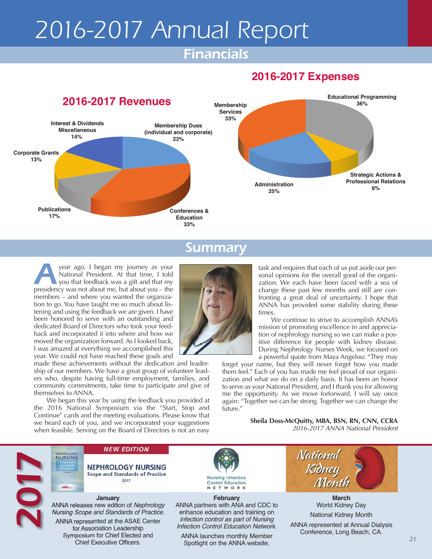# *2016-2017 Annual Report*

## *Financials*

### **2016-2017 Expenses**



#### *Summary*

*A*year ago, <sup>I</sup> began my journey as your National President. At that time, I told you that feedback was a gift and that my presidency was not about me, but about you – the members – and where you wanted the organization to go. You have taught me so much about listening and using the feedback we are given. I have been honored to serve with an outstanding and dedicated Board of Directors who took your feedback and incorporated it into where and how we moved the organization forward. As I looked back, I was amazed at everything we accomplished this year. We could not have reached these goals and

made these achievements without the dedication and leadership of our members. We have a great group of volunteer leaders who, despite having full-time employment, families, and community commitments, take time to participate and give of themselves to ANNA.

We began this year by using the feedback you provided at the 2016 National Symposium via the "Start, Stop and Continue" cards and the meeting evaluations. Please know that we heard each of you, and we incorporated your suggestions when feasible. Serving on the Board of Directors is not an easy

task and requires that each of us put aside our personal opinions for the overall good of the organization. We each have been faced with a sea of change these past few months and still are confronting a great deal of uncertainty. I hope that ANNA has provided some stability during these times.

We continue to strive to accomplish ANNA's mission of promoting excellence in and appreciation of nephrology nursing so we can make a positive difference for people with kidney disease. During Nephrology Nurses Week, we focused on a powerful quote from Maya Angelou: "They may

forget your name, but they will never forget how you made them feel." Each of you has made me feel proud of our organization and what we do on a daily basis. It has been an honor to serve as your National President, and I thank you for allowing me the opportunity. As we move forforward, I will say once again: "Together we can be strong. Together we can change the future."

> **Sheila Doss-McQuitty, MBA, BSN, RN, CNN, CCRA** *2016-2017 ANNA National President*



**NEPHROLOGY** 

ANNA

**NEW EDITION** 

**NEPHROLOGY NURSING Scope and Standards of Practice** 2017

**January** ANNA releases new edition of *Nephrology Nursing Scope and Standards of Practice*. ANNA represented at the ASAE Center for Association Leadership Symposium for Chief Elected and Chief Executive Officers.



**February** ANNA partners with ANA and CDC to enhance education and training on *infection control as part of Nursing Infection Control Education Network*.

ANNA launches monthly Member Spotlight on the ANNA website. **21**<br>Spotlight on the ANNA website.



**March** World Kidney Day

National Kidney Month

ANNA represented at Annual Dialysis Conference, Long Beach, CA.